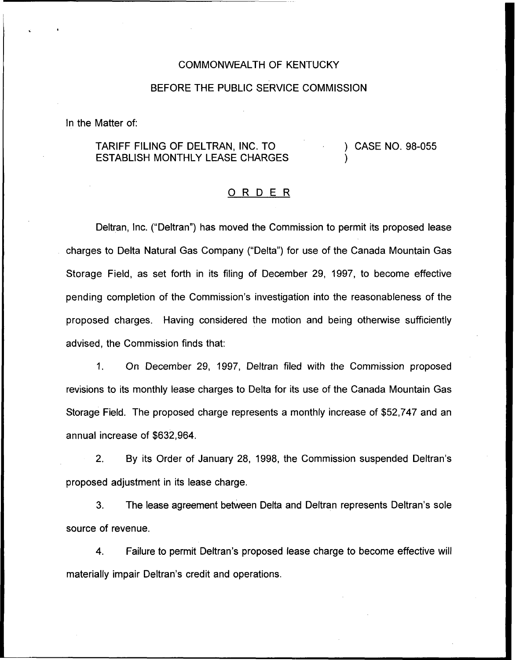## COMMONWEALTH OF KENTUCKY

## BEFORE THE PUBLIC SERVICE COMMISSION

In the Matter of:

## TARIFF FILING OF DELTRAN, INC. TO ESTABLISH MONTHLY LEASE CHARGES ) CASE NO. 98-055 )

## 0 <sup>R</sup> <sup>D</sup> <sup>E</sup> <sup>R</sup>

Deltran, Inc. ("Deltran") has moved the Commission to permit its proposed lease charges to Delta Natural Gas Company ("Delta") for use of the Canada Mountain Gas Storage Field, as set forth in its filing of December 29, 1997, to become effective pending completion of the Commission's investigation into the reasonableness of the proposed charges. Having considered the motion and being otherwise sufficiently advised, the Commission finds that:

1. On December 29, 1997, Deltran filed with the Commission proposed revisions to its monthly lease charges to Delta for its use of the Canada Mountain Gas Storage Field. The proposed charge represents a monthly increase of \$52,747 and an annual increase of \$632,964.

 $2<sup>1</sup>$ By its Order of January 28, 1998, the Commission suspended Deltran's proposed adjustment in its lease charge.

3. The lease agreement between Delta and Deltran represents Deltran's sole source of revenue.

 $\overline{4}$ . Failure to permit Deltran's proposed lease charge to become effective will materially impair Deltran's credit and operations.